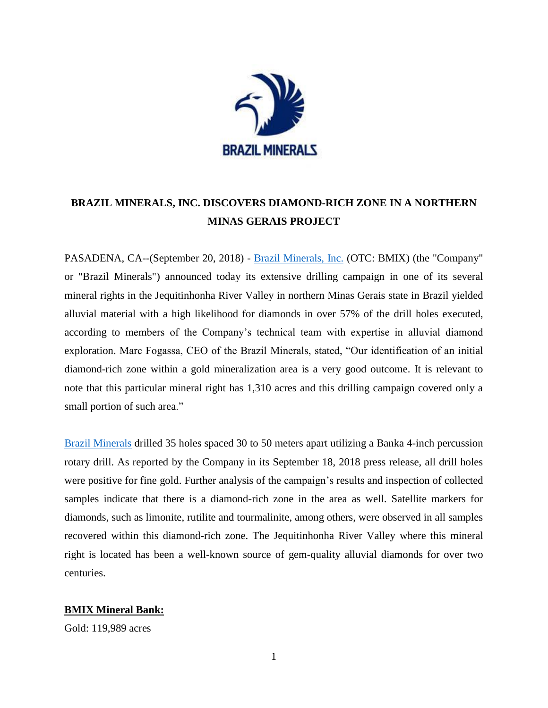

# **BRAZIL MINERALS, INC. DISCOVERS DIAMOND-RICH ZONE IN A NORTHERN MINAS GERAIS PROJECT**

PASADENA, CA--(September 20, 2018) - [Brazil Minerals, Inc.](http://www.brazil-minerals.com/) (OTC: BMIX) (the "Company" or "Brazil Minerals") announced today its extensive drilling campaign in one of its several mineral rights in the Jequitinhonha River Valley in northern Minas Gerais state in Brazil yielded alluvial material with a high likelihood for diamonds in over 57% of the drill holes executed, according to members of the Company's technical team with expertise in alluvial diamond exploration. Marc Fogassa, CEO of the Brazil Minerals, stated, "Our identification of an initial diamond-rich zone within a gold mineralization area is a very good outcome. It is relevant to note that this particular mineral right has 1,310 acres and this drilling campaign covered only a small portion of such area."

[Brazil Minerals](http://www.brazil-minerals.com/) drilled 35 holes spaced 30 to 50 meters apart utilizing a Banka 4-inch percussion rotary drill. As reported by the Company in its September 18, 2018 press release, all drill holes were positive for fine gold. Further analysis of the campaign's results and inspection of collected samples indicate that there is a diamond-rich zone in the area as well. Satellite markers for diamonds, such as limonite, rutilite and tourmalinite, among others, were observed in all samples recovered within this diamond-rich zone. The Jequitinhonha River Valley where this mineral right is located has been a well-known source of gem-quality alluvial diamonds for over two centuries.

# **BMIX Mineral Bank:**

Gold: 119,989 acres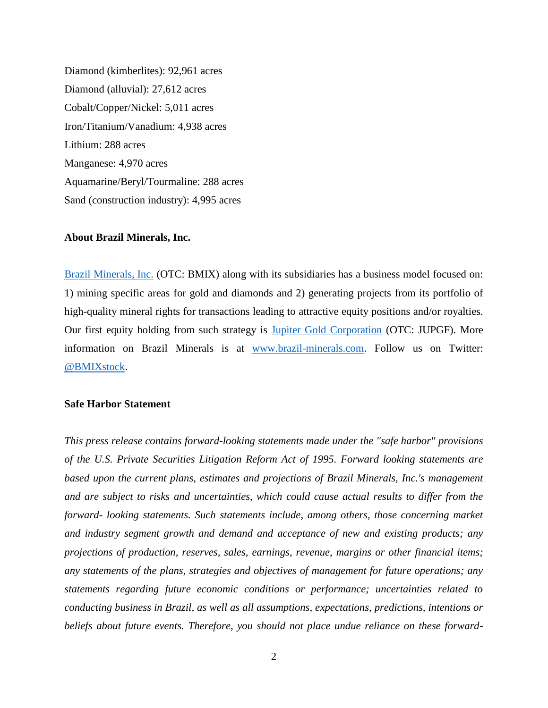Diamond (kimberlites): 92,961 acres Diamond (alluvial): 27,612 acres Cobalt/Copper/Nickel: 5,011 acres Iron/Titanium/Vanadium: 4,938 acres Lithium: 288 acres Manganese: 4,970 acres Aquamarine/Beryl/Tourmaline: 288 acres Sand (construction industry): 4,995 acres

#### **About Brazil Minerals, Inc.**

[Brazil Minerals,](http://www.brazil-minerals.com/) Inc. (OTC: BMIX) along with its subsidiaries has a business model focused on: 1) mining specific areas for gold and diamonds and 2) generating projects from its portfolio of high-quality mineral rights for transactions leading to attractive equity positions and/or royalties. Our first equity holding from such strategy is [Jupiter Gold Corporation](http://www.jupitergoldcorp.com/) (OTC: JUPGF). More information on Brazil Minerals is at [www.brazil-minerals.com.](http://www.brazil-minerals.com/) Follow us on Twitter: [@BMIXstock.](http://www.twitter.com/BMIXstock)

## **Safe Harbor Statement**

*This press release contains forward-looking statements made under the "safe harbor" provisions of the U.S. Private Securities Litigation Reform Act of 1995. Forward looking statements are based upon the current plans, estimates and projections of Brazil Minerals, Inc.'s management and are subject to risks and uncertainties, which could cause actual results to differ from the forward- looking statements. Such statements include, among others, those concerning market and industry segment growth and demand and acceptance of new and existing products; any projections of production, reserves, sales, earnings, revenue, margins or other financial items; any statements of the plans, strategies and objectives of management for future operations; any statements regarding future economic conditions or performance; uncertainties related to conducting business in Brazil, as well as all assumptions, expectations, predictions, intentions or beliefs about future events. Therefore, you should not place undue reliance on these forward-*